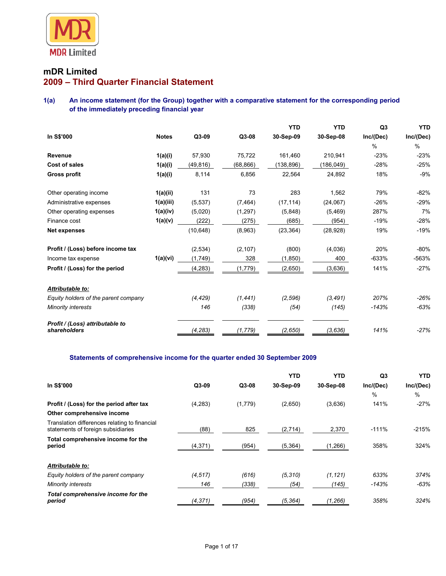

# **mDR Limited 2009 – Third Quarter Financial Statement**

**1(a) An income statement (for the Group) together with a comparative statement for the corresponding period of the immediately preceding financial year** 

|                                                 |              |           |           | <b>YTD</b> | <b>YTD</b> | Q <sub>3</sub> | <b>YTD</b>    |
|-------------------------------------------------|--------------|-----------|-----------|------------|------------|----------------|---------------|
| In S\$'000                                      | <b>Notes</b> | Q3-09     | Q3-08     | 30-Sep-09  | 30-Sep-08  | Inc/(Dec)      | Inc/(Dec)     |
|                                                 |              |           |           |            |            | $\%$           | $\frac{0}{0}$ |
| Revenue                                         | 1(a)(i)      | 57,930    | 75,722    | 161,460    | 210,941    | $-23%$         | $-23%$        |
| <b>Cost of sales</b>                            | 1(a)(i)      | (49, 816) | (68, 866) | (138,896)  | (186,049)  | $-28%$         | $-25%$        |
| <b>Gross profit</b>                             | 1(a)(i)      | 8,114     | 6,856     | 22.564     | 24,892     | 18%            | $-9%$         |
| Other operating income                          | 1(a)(ii)     | 131       | 73        | 283        | 1.562      | 79%            | $-82%$        |
| Administrative expenses                         | 1(a)(iii)    | (5, 537)  | (7, 464)  | (17, 114)  | (24,067)   | $-26%$         | $-29%$        |
| Other operating expenses                        | 1(a)(iv)     | (5,020)   | (1,297)   | (5,848)    | (5,469)    | 287%           | 7%            |
| Finance cost                                    | 1(a)(v)      | (222)     | (275)     | (685)      | (954)      | $-19%$         | $-28%$        |
| <b>Net expenses</b>                             |              | (10, 648) | (8,963)   | (23, 364)  | (28, 928)  | 19%            | $-19%$        |
| Profit / (Loss) before income tax               |              | (2,534)   | (2, 107)  | (800)      | (4,036)    | 20%            | $-80\%$       |
| Income tax expense                              | 1(a)(vi)     | (1,749)   | 328       | (1, 850)   | 400        | $-633%$        | $-563%$       |
| Profit / (Loss) for the period                  |              | (4, 283)  | (1,779)   | (2,650)    | (3,636)    | 141%           | $-27%$        |
| Attributable to:                                |              |           |           |            |            |                |               |
| Equity holders of the parent company            |              | (4, 429)  | (1, 441)  | (2,596)    | (3, 491)   | 207%           | -26%          |
| <b>Minority interests</b>                       |              | 146       | (338)     | (54)       | (145)      | -143%          | $-63%$        |
| Profit / (Loss) attributable to<br>shareholders |              | (4, 283)  | (1, 779)  | (2,650)    | (3,636)    | 141%           | $-27%$        |

### **Statements of comprehensive income for the quarter ended 30 September 2009**

|                                                                                     |          |         | <b>YTD</b> | YTD       | Q3        | YTD.          |
|-------------------------------------------------------------------------------------|----------|---------|------------|-----------|-----------|---------------|
| In S\$'000                                                                          | Q3-09    | Q3-08   | 30-Sep-09  | 30-Sep-08 | Inc/(Dec) | Inc/(Dec)     |
|                                                                                     |          |         |            |           | $\%$      | $\frac{0}{0}$ |
| Profit / (Loss) for the period after tax                                            | (4, 283) | (1,779) | (2,650)    | (3,636)   | 141%      | $-27%$        |
| Other comprehensive income                                                          |          |         |            |           |           |               |
| Translation differences relating to financial<br>statements of foreign subsidiaries | (88)     | 825     | (2,714)    | 2,370     | $-111%$   | $-215%$       |
| Total comprehensive income for the<br>period                                        | (4,371)  | (954)   | (5, 364)   | (1,266)   | 358%      | 324%          |
| Attributable to:                                                                    |          |         |            |           |           |               |
| Equity holders of the parent company                                                | (4.517)  | (616)   | (5, 310)   | (1, 121)  | 633%      | 374%          |
| <b>Minority interests</b>                                                           | 146      | (338)   | (54)       | (145)     | $-143%$   | -63%          |
| Total comprehensive income for the<br>period                                        | (4, 371) | (954)   | (5, 364)   | (1,266)   | 358%      | 324%          |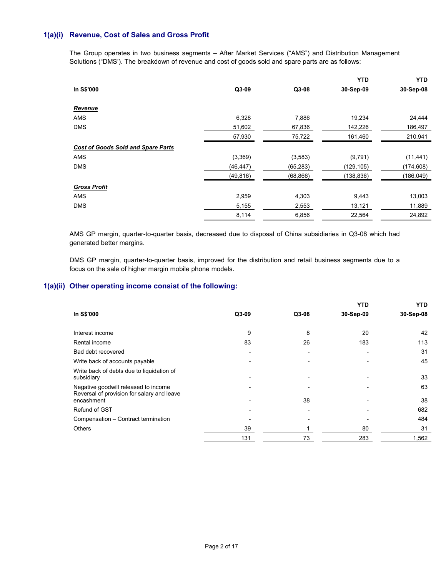## **1(a)(i) Revenue, Cost of Sales and Gross Profit**

The Group operates in two business segments – After Market Services ("AMS") and Distribution Management Solutions ("DMS'). The breakdown of revenue and cost of goods sold and spare parts are as follows:

|                                           |           |           | <b>YTD</b> | <b>YTD</b> |
|-------------------------------------------|-----------|-----------|------------|------------|
| In S\$'000                                | Q3-09     | Q3-08     | 30-Sep-09  | 30-Sep-08  |
| Revenue                                   |           |           |            |            |
| <b>AMS</b>                                | 6,328     | 7,886     | 19,234     | 24,444     |
| <b>DMS</b>                                | 51,602    | 67,836    | 142,226    | 186,497    |
|                                           | 57,930    | 75,722    | 161,460    | 210,941    |
| <b>Cost of Goods Sold and Spare Parts</b> |           |           |            |            |
| <b>AMS</b>                                | (3,369)   | (3,583)   | (9,791)    | (11, 441)  |
| <b>DMS</b>                                | (46, 447) | (65, 283) | (129,105)  | (174, 608) |
|                                           | (49, 816) | (68, 866) | (138, 836) | (186,049)  |
| <b>Gross Profit</b>                       |           |           |            |            |
| <b>AMS</b>                                | 2,959     | 4,303     | 9,443      | 13,003     |
| <b>DMS</b>                                | 5,155     | 2,553     | 13,121     | 11,889     |
|                                           | 8,114     | 6,856     | 22,564     | 24,892     |

AMS GP margin, quarter-to-quarter basis, decreased due to disposal of China subsidiaries in Q3-08 which had generated better margins.

DMS GP margin, quarter-to-quarter basis, improved for the distribution and retail business segments due to a focus on the sale of higher margin mobile phone models.

## **1(a)(ii) Other operating income consist of the following:**

|                                                                                    |                          |                          | <b>YTD</b> | YTD.      |
|------------------------------------------------------------------------------------|--------------------------|--------------------------|------------|-----------|
| In S\$'000                                                                         | $Q3-09$                  | $Q3-08$                  | 30-Sep-09  | 30-Sep-08 |
|                                                                                    |                          |                          |            |           |
| Interest income                                                                    | 9                        | 8                        | 20         | 42        |
| Rental income                                                                      | 83                       | 26                       | 183        | 113       |
| Bad debt recovered                                                                 | $\overline{\phantom{0}}$ | $\overline{\phantom{0}}$ |            | 31        |
| Write back of accounts payable                                                     |                          |                          |            | 45        |
| Write back of debts due to liquidation of<br>subsidiary                            | $\overline{\phantom{0}}$ | $\overline{\phantom{0}}$ |            | 33        |
| Negative goodwill released to income<br>Reversal of provision for salary and leave |                          |                          |            | 63        |
| encashment                                                                         |                          | 38                       |            | 38        |
| Refund of GST                                                                      |                          |                          |            | 682       |
| Compensation - Contract termination                                                |                          |                          |            | 484       |
| <b>Others</b>                                                                      | 39                       |                          | 80         | 31        |
|                                                                                    | 131                      | 73                       | 283        | 1,562     |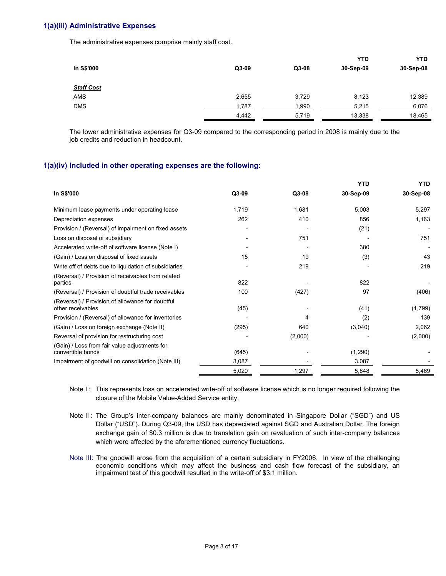### **1(a)(iii) Administrative Expenses**

The administrative expenses comprise mainly staff cost.

|                   |       |         | <b>YTD</b> | <b>YTD</b> |
|-------------------|-------|---------|------------|------------|
| In S\$'000        | Q3-09 | $Q3-08$ | 30-Sep-09  | 30-Sep-08  |
| <b>Staff Cost</b> |       |         |            |            |
| <b>AMS</b>        | 2,655 | 3,729   | 8,123      | 12,389     |
| <b>DMS</b>        | 1,787 | 1,990   | 5,215      | 6,076      |
|                   | 4,442 | 5,719   | 13,338     | 18,465     |

 The lower administrative expenses for Q3-09 compared to the corresponding period in 2008 is mainly due to the job credits and reduction in headcount.

### **1(a)(iv) Included in other operating expenses are the following:**

|                                                                       |       |         | <b>YTD</b> | <b>YTD</b> |
|-----------------------------------------------------------------------|-------|---------|------------|------------|
| In S\$'000                                                            | Q3-09 | Q3-08   | 30-Sep-09  | 30-Sep-08  |
| Minimum lease payments under operating lease                          | 1,719 | 1,681   | 5,003      | 5,297      |
| Depreciation expenses                                                 | 262   | 410     | 856        | 1,163      |
| Provision / (Reversal) of impairment on fixed assets                  |       |         | (21)       |            |
| Loss on disposal of subsidiary                                        |       | 751     |            | 751        |
| Accelerated write-off of software license (Note I)                    |       |         | 380        |            |
| (Gain) / Loss on disposal of fixed assets                             | 15    | 19      | (3)        | 43         |
| Write off of debts due to liquidation of subsidiaries                 |       | 219     |            | 219        |
| (Reversal) / Provision of receivables from related<br>parties         | 822   |         | 822        |            |
| (Reversal) / Provision of doubtful trade receivables                  | 100   | (427)   | 97         | (406)      |
| (Reversal) / Provision of allowance for doubtful<br>other receivables | (45)  |         | (41)       | (1,799)    |
| Provision / (Reversal) of allowance for inventories                   |       | 4       | (2)        | 139        |
| (Gain) / Loss on foreign exchange (Note II)                           | (295) | 640     | (3,040)    | 2,062      |
| Reversal of provision for restructuring cost                          |       | (2,000) |            | (2,000)    |
| (Gain) / Loss from fair value adjustments for<br>convertible bonds    | (645) |         | (1,290)    |            |
| Impairment of goodwill on consolidation (Note III)                    | 3,087 |         | 3,087      |            |
|                                                                       | 5,020 | 1,297   | 5,848      | 5,469      |

Note I: This represents loss on accelerated write-off of software license which is no longer required following the closure of the Mobile Value-Added Service entity.

Note II : The Group's inter-company balances are mainly denominated in Singapore Dollar ("SGD") and US Dollar ("USD"). During Q3-09, the USD has depreciated against SGD and Australian Dollar. The foreign exchange gain of \$0.3 million is due to translation gain on revaluation of such inter-company balances which were affected by the aforementioned currency fluctuations.

Note III: The goodwill arose from the acquisition of a certain subsidiary in FY2006. In view of the challenging economic conditions which may affect the business and cash flow forecast of the subsidiary, an impairment test of this goodwill resulted in the write-off of \$3.1 million.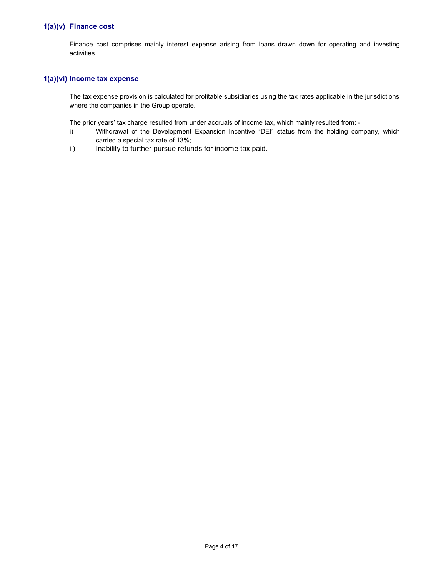## **1(a)(v) Finance cost**

Finance cost comprises mainly interest expense arising from loans drawn down for operating and investing activities.

### **1(a)(vi) Income tax expense**

The tax expense provision is calculated for profitable subsidiaries using the tax rates applicable in the jurisdictions where the companies in the Group operate.

The prior years' tax charge resulted from under accruals of income tax, which mainly resulted from: -

- i) Withdrawal of the Development Expansion Incentive "DEI" status from the holding company, which carried a special tax rate of 13%;
- ii) Inability to further pursue refunds for income tax paid.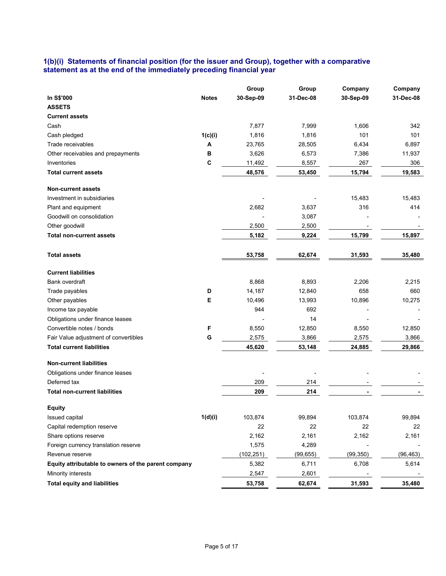## **1(b)(i) Statements of financial position (for the issuer and Group), together with a comparative statement as at the end of the immediately preceding financial year**

|                                                     |              | Group      | Group      | Company   | Company   |
|-----------------------------------------------------|--------------|------------|------------|-----------|-----------|
| In S\$'000                                          | <b>Notes</b> | 30-Sep-09  | 31-Dec-08  | 30-Sep-09 | 31-Dec-08 |
| <b>ASSETS</b>                                       |              |            |            |           |           |
| <b>Current assets</b>                               |              |            |            |           |           |
| Cash                                                |              | 7,877      | 7,999      | 1,606     | 342       |
| Cash pledged                                        | 1(c)(i)      | 1,816      | 1,816      | 101       | 101       |
| Trade receivables                                   | Α            | 23,765     | 28,505     | 6,434     | 6,897     |
| Other receivables and prepayments                   | в            | 3,626      | 6,573      | 7,386     | 11,937    |
| Inventories                                         | C            | 11,492     | 8,557      | 267       | 306       |
| <b>Total current assets</b>                         |              | 48,576     | 53,450     | 15,794    | 19,583    |
| <b>Non-current assets</b>                           |              |            |            |           |           |
| Investment in subsidiaries                          |              |            |            | 15,483    | 15,483    |
| Plant and equipment                                 |              | 2,682      | 3,637      | 316       | 414       |
| Goodwill on consolidation                           |              |            | 3,087      |           |           |
| Other goodwill                                      |              | 2,500      | 2,500      |           |           |
| <b>Total non-current assets</b>                     |              | 5,182      | 9,224      | 15,799    | 15,897    |
| <b>Total assets</b>                                 |              | 53,758     | 62,674     | 31,593    | 35,480    |
| <b>Current liabilities</b>                          |              |            |            |           |           |
| Bank overdraft                                      |              | 8,868      | 8,893      | 2,206     | 2,215     |
| Trade payables                                      | D            | 14,187     | 12,840     | 658       | 660       |
| Other payables                                      | Е            | 10,496     | 13,993     | 10,896    | 10,275    |
| Income tax payable                                  |              | 944        | 692        |           |           |
| Obligations under finance leases                    |              |            | 14         |           |           |
| Convertible notes / bonds                           | F            | 8,550      | 12,850     | 8,550     | 12,850    |
| Fair Value adjustment of convertibles               | G            | 2,575      | 3,866      | 2,575     | 3,866     |
| <b>Total current liabilities</b>                    |              | 45,620     | 53,148     | 24,885    | 29,866    |
| <b>Non-current liabilities</b>                      |              |            |            |           |           |
|                                                     |              |            |            |           |           |
| Obligations under finance leases<br>Deferred tax    |              |            |            |           |           |
| <b>Total non-current liabilities</b>                |              | 209<br>209 | 214<br>214 |           |           |
|                                                     |              |            |            |           |           |
| <b>Equity</b>                                       |              |            |            |           |           |
| Issued capital                                      | 1(d)(i)      | 103,874    | 99,894     | 103,874   | 99,894    |
| Capital redemption reserve                          |              | 22         | 22         | 22        | 22        |
| Share options reserve                               |              | 2,162      | 2,161      | 2,162     | 2,161     |
| Foreign currency translation reserve                |              | 1,575      | 4,289      |           |           |
| Revenue reserve                                     |              | (102, 251) | (99, 655)  | (99, 350) | (96, 463) |
| Equity attributable to owners of the parent company |              | 5,382      | 6,711      | 6,708     | 5,614     |
| Minority interests                                  |              | 2,547      | 2,601      |           |           |
| <b>Total equity and liabilities</b>                 |              | 53,758     | 62,674     | 31,593    | 35,480    |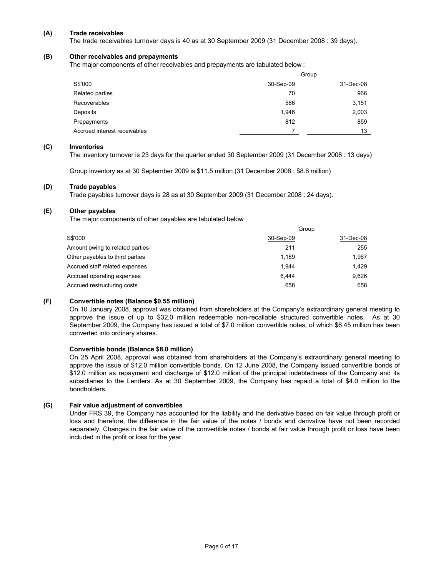### **(A) Trade receivables**

The trade receivables turnover days is 40 as at 30 September 2009 (31 December 2008 : 39 days).

### **(B) Other receivables and prepayments**

The major components of other receivables and prepayments are tabulated below :

|                              | Group     |           |  |  |
|------------------------------|-----------|-----------|--|--|
| S\$'000                      | 30-Sep-09 | 31-Dec-08 |  |  |
| Related parties              | 70        | 966       |  |  |
| Recoverables                 | 586       | 3,151     |  |  |
| Deposits                     | 1,946     | 2,003     |  |  |
| Prepayments                  | 812       | 859       |  |  |
| Accrued interest receivables |           | 13        |  |  |

### **(C) Inventories**

The inventory turnover is 23 days for the quarter ended 30 September 2009 (31 December 2008 : 13 days)

Group inventory as at 30 September 2009 is \$11.5 million (31 December 2008 : \$8.6 million)

### **(D) Trade payables**

Trade payables turnover days is 28 as at 30 September 2009 (31 December 2008 : 24 days).

### **(E) Other payables**

The major components of other payables are tabulated below :

|                                 | Group     |           |  |  |
|---------------------------------|-----------|-----------|--|--|
| S\$'000                         | 30-Sep-09 | 31-Dec-08 |  |  |
| Amount owing to related parties | 211       | 255       |  |  |
| Other payables to third parties | 1.189     | 1,967     |  |  |
| Accrued staff related expenses  | 1.944     | 1.429     |  |  |
| Accrued operating expenses      | 6.444     | 9,626     |  |  |
| Accrued restructuring costs     | 658       | 658       |  |  |

### **(F) Convertible notes (Balance \$0.55 million)**

On 10 January 2008, approval was obtained from shareholders at the Company's extraordinary general meeting to approve the issue of up to \$32.0 million redeemable non-recallable structured convertible notes. As at 30 September 2009, the Company has issued a total of \$7.0 million convertible notes, of which \$6.45 million has been converted into ordinary shares.

### **Convertible bonds (Balance \$8.0 million)**

On 25 April 2008, approval was obtained from shareholders at the Company's extraordinary general meeting to approve the issue of \$12.0 million convertible bonds. On 12 June 2008, the Company issued convertible bonds of \$12.0 million as repayment and discharge of \$12.0 million of the principal indebtedness of the Company and its subsidiaries to the Lenders. As at 30 September 2009, the Company has repaid a total of \$4.0 million to the bondholders.

### **(G) Fair value adjustment of convertibles**

Under FRS 39, the Company has accounted for the liability and the derivative based on fair value through profit or loss and therefore, the difference in the fair value of the notes / bonds and derivative have not been recorded separately. Changes in the fair value of the convertible notes / bonds at fair value through profit or loss have been included in the profit or loss for the year.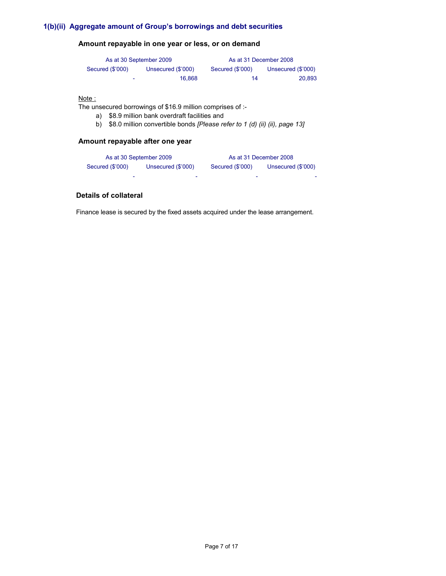# **1(b)(ii) Aggregate amount of Group's borrowings and debt securities**

# **Amount repayable in one year or less, or on demand**

| As at 30 September 2009 |                    | As at 31 December 2008 |                    |
|-------------------------|--------------------|------------------------|--------------------|
| Secured (\$'000)        | Unsecured (\$'000) | Secured (\$'000)       | Unsecured (\$'000) |
| -                       | 16.868             | 14                     | 20.893             |

### Note :

The unsecured borrowings of \$16.9 million comprises of :-

- a) \$8.9 million bank overdraft facilities and
- b) \$8.0 million convertible bonds *[Please refer to 1 (d) (ii) (ii), page 13]*

## **Amount repayable after one year**

| As at 30 September 2009 |                    | As at 31 December 2008 |                    |  |
|-------------------------|--------------------|------------------------|--------------------|--|
| Secured (\$'000)        | Unsecured (\$'000) | Secured (\$'000)       | Unsecured (\$'000) |  |
|                         | ۰                  | -                      | ۰                  |  |

# **Details of collateral**

Finance lease is secured by the fixed assets acquired under the lease arrangement.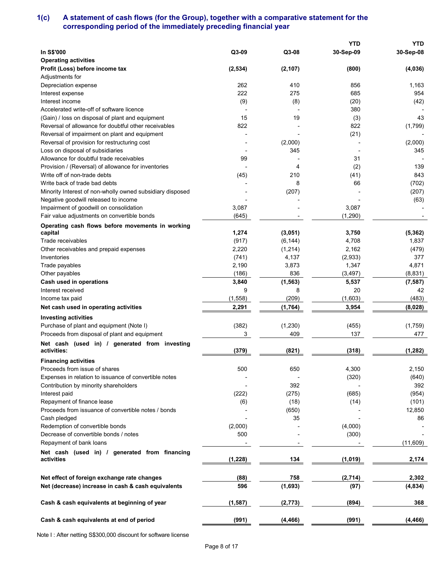# **1(c) A statement of cash flows (for the Group), together with a comparative statement for the corresponding period of the immediately preceding financial year**

|                                                           |                   |               | <b>YTD</b> | <b>YTD</b>     |
|-----------------------------------------------------------|-------------------|---------------|------------|----------------|
| <b>In S\$'000</b>                                         | Q3-09             | Q3-08         | 30-Sep-09  | 30-Sep-08      |
| <b>Operating activities</b>                               |                   |               |            |                |
| Profit (Loss) before income tax                           | (2,534)           | (2, 107)      | (800)      | (4,036)        |
| Adjustments for                                           |                   |               |            |                |
| Depreciation expense                                      | 262               | 410           | 856        | 1,163          |
| Interest expense                                          | 222               | 275           | 685        | 954            |
| Interest income                                           | (9)               | (8)           | (20)       | (42)           |
| Accelerated write-off of software licence                 |                   |               | 380        |                |
| (Gain) / loss on disposal of plant and equipment          | 15                | 19            | (3)        | 43             |
| Reversal of allowance for doubtful other receivables      | 822               |               | 822        | (1,799)        |
| Reversal of impairment on plant and equipment             |                   |               | (21)       |                |
| Reversal of provision for restructuring cost              |                   | (2,000)       |            | (2,000)        |
| Loss on disposal of subsidiaries                          |                   | 345           |            | 345            |
| Allowance for doubtful trade receivables                  | 99                |               | 31         |                |
| Provision / (Reversal) of allowance for inventories       |                   | 4             | (2)        | 139            |
| Write off of non-trade debts                              | (45)              | 210           | (41)       | 843            |
| Write back of trade bad debts                             |                   | 8             | 66         | (702)          |
| Minority Interest of non-wholly owned subsidiary disposed |                   | (207)         |            | (207)          |
| Negative goodwill released to income                      |                   |               |            | (63)           |
| Impairment of goodwill on consolidation                   | 3,087             |               | 3,087      |                |
| Fair value adjustments on convertible bonds               | (645)             |               | (1,290)    |                |
| Operating cash flows before movements in working          |                   |               |            |                |
| capital                                                   | 1,274             | (3,051)       | 3,750      | (5, 362)       |
| Trade receivables                                         | (917)             | (6, 144)      | 4,708      | 1,837          |
| Other receivables and prepaid expenses                    | 2,220             | (1, 214)      | 2,162      | (479)          |
| Inventories                                               | (741)             | 4,137         | (2,933)    | 377            |
| Trade payables                                            | 2,190             | 3,873         | 1,347      | 4,871          |
| Other payables                                            | (186)             | 836           | (3, 497)   | (8,831)        |
| Cash used in operations                                   | 3,840             |               | 5,537      |                |
| Interest received                                         | 9                 | (1, 563)<br>8 | 20         | (7, 587)<br>42 |
|                                                           |                   |               |            | (483)          |
| Income tax paid                                           | (1, 558)<br>2,291 | (209)         | (1,603)    |                |
| Net cash used in operating activities                     |                   | (1,764)       | 3,954      | (8,028)        |
| <b>Investing activities</b>                               |                   |               |            |                |
| Purchase of plant and equipment (Note I)                  | (382)             | (1, 230)      | (455)      | (1,759)        |
| Proceeds from disposal of plant and equipment             | 3                 | 409           | 137        | 477            |
| Net cash (used in) / generated from investing             |                   |               |            |                |
| activities:                                               | (379)             | (821)         | (318)      | (1, 282)       |
| <b>Financing activities</b>                               |                   |               |            |                |
| Proceeds from issue of shares                             | 500               | 650           | 4,300      | 2,150          |
| Expenses in relation to issuance of convertible notes     |                   |               | (320)      | (640)          |
| Contribution by minority shareholders                     |                   | 392           |            | 392            |
| Interest paid                                             | (222)             | (275)         | (685)      | (954)          |
| Repayment of finance lease                                | (6)               | (18)          | (14)       | (101)          |
| Proceeds from issuance of convertible notes / bonds       |                   | (650)         |            | 12,850         |
| Cash pledged                                              |                   | 35            |            | 86             |
| Redemption of convertible bonds                           | (2,000)           |               | (4,000)    |                |
| Decrease of convertible bonds / notes                     | 500               |               | (300)      |                |
| Repayment of bank loans                                   |                   |               |            | (11,609)       |
| Net cash (used in) / generated from financing             |                   |               |            |                |
| activities                                                | (1, 228)          | 134           | (1,019)    | 2,174          |
|                                                           |                   |               |            |                |
| Net effect of foreign exchange rate changes               | (88)              | 758           | (2,714)    | 2,302          |
| Net (decrease) increase in cash & cash equivalents        | 596               | (1,693)       | (97)       | (4,834)        |
|                                                           |                   |               |            |                |
| Cash & cash equivalents at beginning of year              | (1, 587)          | (2, 773)      | (894)      | 368            |
|                                                           |                   |               |            |                |
| Cash & cash equivalents at end of period                  | (991)             | (4,466)       | (991)      | (4, 466)       |
|                                                           |                   |               |            |                |

Note I : After netting S\$300,000 discount for software license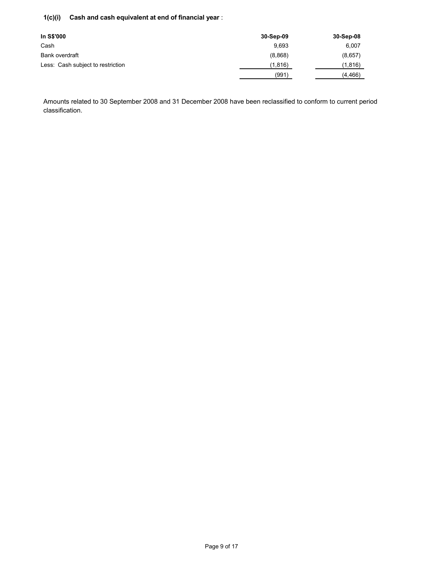# **1(c)(i) Cash and cash equivalent at end of financial year** :

| In S\$'000                        | 30-Sep-09 | 30-Sep-08 |
|-----------------------------------|-----------|-----------|
| Cash                              | 9.693     | 6,007     |
| Bank overdraft                    | (8,868)   | (8,657)   |
| Less: Cash subject to restriction | (1,816)   | (1,816)   |
|                                   | (991)     | (4, 466)  |

Amounts related to 30 September 2008 and 31 December 2008 have been reclassified to conform to current period classification.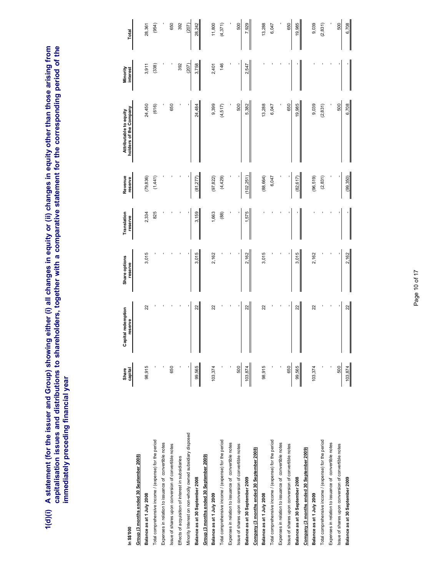1(d)(i) A statement (for the issuer and Group) showing either (i) all changes in equity or (ii) changes in equity other than those arising from<br>capitalisation issues and distributions to shareholders, together with a compa **1(d)(i) A statement (for the issuer and Group) showing either (i) all changes in equity or (ii) changes in equity other than those arising from capitalisation issues and distributions to shareholders, together with a comparative statement for the corresponding period of the immediately preceding financial year** 

|                                                                       | Share   | ipital redemption<br>ී | Share options | Translation | Revenue    | Attributable to equity | Minority |          |
|-----------------------------------------------------------------------|---------|------------------------|---------------|-------------|------------|------------------------|----------|----------|
| <b>In S\$000</b>                                                      | capital | reserve                | reserve       | reserve     | reserve    | holders of the Company | interest | Total    |
| Group (3 months ended 30 September 2008)<br>Balance as at 1 July 2008 |         |                        |               |             |            |                        |          |          |
|                                                                       | 98,915  | 22                     | 3,015         | 2,334       | (79, 836)  | 24,450                 | 3,911    | 28,361   |
| Total comprehensive income / (expense) for the period                 |         |                        |               | 825         | (1,441)    | (616)                  | (338)    | (954)    |
| Expenses in relation to issuance of convertible notes                 |         |                        |               |             |            |                        |          |          |
| Issue of shares upon conversion of convertible notes                  | 650     |                        |               |             |            | 650                    |          | 650      |
| Effects of acquisition of interest in subsidiaries                    |         |                        |               |             |            |                        | 392      | 392      |
| Minority Interest on non-wholly owned subsidiary disposed             |         |                        |               |             |            |                        | (207)    | (207)    |
| Balance as at 30 September 2008                                       | 99,565  | 22                     | 3,015         | 3,159       | (81,277)   | 24,484                 | 3,758    | 28,242   |
| Group (3 months ended 30 September 2009)                              |         |                        |               |             |            |                        |          |          |
| Balance as at 1 July 2009                                             | 103,374 | 22                     | 2,162         | 1,663       | (97, 822)  | 9,399                  | 2,401    | 11,800   |
| Total comprehensive income / (expense) for the period                 |         |                        |               | (88)        | (4,429)    | (4,517)                | 146      | (4, 371) |
| Expenses in relation to issuance of convertible notes                 |         |                        |               |             |            |                        |          |          |
| Issue of shares upon conversion of convertible notes                  | 500     |                        |               |             |            | 500                    |          | 500      |
| Balance as at 30 September 2009                                       | 103,874 | ನ                      | 2,162         | 575         | (102, 251) | 5,382                  | 2,547    | 7,929    |
| Company (3 months ended 30 September 2008)                            |         |                        |               |             |            |                        |          |          |
| Balance as at 1 July 2008                                             | 98,915  | 22                     | 3,015         |             | (88, 664)  | 13,288                 |          | 13,288   |
| Total comprehensive income / (expense) for the period                 |         |                        |               |             | 6,047      | 6,047                  |          | 6,047    |
| Expenses in relation to issuance of convertible notes                 |         |                        |               |             |            |                        |          |          |
| Issue of shares upon conversion of convertible notes                  | 650     |                        |               |             |            | 650                    |          | 650      |
| Balance as at 30 September 2008                                       | 99,565  | $\approx$              | 3,015         |             | (82, 617)  | 19,985                 |          | 19,985   |
| Company (3 months ended 30 September 2009)                            |         |                        |               |             |            |                        |          |          |
| Balance as at 1 July 2009                                             | 103,374 | 22                     | 2,162         |             | (96,519)   | 9,039                  |          | 9,039    |
| Total comprehensive income / (expense) for the period                 |         |                        |               |             | (2,831)    | (2, 831)               |          | (2, 831) |
| Expenses in relation to issuance of convertible notes                 |         |                        |               |             |            |                        |          |          |
| Issue of shares upon conversion of convertible notes                  | 500     |                        |               |             |            | 500                    |          | 500      |
| Balance as at 30 September 2009                                       | 103,874 | 22                     | 2,162         |             | (99, 350)  | 6,708                  |          | 6,708    |

# Page 10 of 17 Page 10 of 17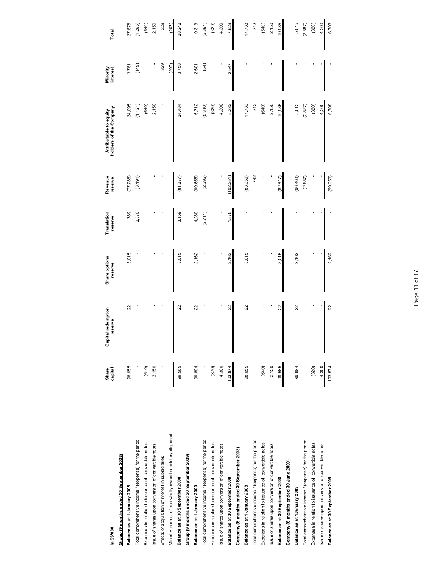| In S\$'000                                                | Share<br>capital | Capital redemption<br>reserve | Share options<br>reserve | Translation<br>reserve | Revenue<br>reserve | holders of the Company<br>Attributable to equity | Minority<br>interest | Total    |
|-----------------------------------------------------------|------------------|-------------------------------|--------------------------|------------------------|--------------------|--------------------------------------------------|----------------------|----------|
| Group (9 months ended 30 September 2008)                  |                  |                               |                          |                        |                    |                                                  |                      |          |
| Balance as at 1 January 2008                              | 98,055           | 22                            | 3,015                    | 789                    | (77, 786)          | 24,095                                           | 3,781                | 27,876   |
| Total comprehensive income / (expense) for the period     |                  |                               |                          | 2,370                  | (3,491)            | (1, 121)                                         | (145)                | (1,266)  |
| Expenses in relation to issuance of convertible notes     | (640)            |                               |                          |                        |                    | (640)                                            |                      | (640)    |
| issue of shares upon conversion of convertible notes      | 2,150            |                               |                          |                        |                    | 2,150                                            |                      | 2,150    |
| Effects of acquisition of interest in subsidiaries        |                  |                               |                          |                        |                    |                                                  | 329                  | 329      |
| Minority Interest of non-wholly owned subsidiary disposed |                  |                               |                          |                        |                    |                                                  | (207)                | (207)    |
| Balance as at 30 September 2008                           | 99,565           | 22                            | 3,015                    | 3,159                  | (81, 277)          | 24,484                                           | 3,758                | 28,242   |
| Group (9 months ended 30 September 2009)                  |                  |                               |                          |                        |                    |                                                  |                      |          |
| Balance as at 1 January 2009                              | 99,894           | 22                            | 2,162                    | 4,289                  | (99, 655)          | 6,712                                            | 2,601                | 9,313    |
| Total comprehensive income / (expense) for the period     |                  |                               |                          | (2, 714)               | (2,596)            | (5,310)                                          | (54)                 | (5, 364) |
| Expenses in relation to issuance of convertible notes     | (320)            |                               |                          |                        |                    | (320)                                            |                      | (320)    |
| Issue of shares upon conversion of convertible notes      | 4,300            |                               |                          |                        |                    | 4,300                                            |                      | 4,300    |
| Balance as at 30 September 2009                           | 103,874          | $\approx$<br>I                | 2,162                    | 575                    | (102, 251)         | 5,382                                            | 2,547                | 7,929    |
| Company (6 months ended 30 September 2008)                |                  |                               |                          |                        |                    |                                                  |                      |          |
| Balance as at 1 January 2008                              | 98,055           | 22                            | 3,015                    |                        | (83,359)           | 17,733                                           |                      | 17,733   |
| Total comprehensive income / (expense) for the period     |                  |                               |                          |                        | 742                | 742                                              |                      | 742      |
| Expenses in relation to issuance of convertible notes     | (640)            |                               |                          |                        |                    | (640)                                            |                      | (640)    |
| Issue of shares upon conversion of convertible notes      | 2,150            |                               |                          |                        |                    | 2,150                                            |                      | 2,150    |
| Balance as at 30 September 2008                           | 99,565           | 22                            | 3,015                    |                        | (82, 617)          | 19,985                                           |                      | 19,985   |
| Company (6 months ended 30 June 2009)                     |                  |                               |                          |                        |                    |                                                  |                      |          |
| Balance as at 1 January 2009                              | 99,894           | 22                            | 2,162                    |                        | (96, 463)          | 5,615                                            |                      | 5,615    |
| Total comprehensive income / (expense) for the period     |                  |                               |                          |                        | (2, 887)           | (2, 887)                                         |                      | (2, 887) |
| Expenses in relation to issuance of convertible notes     | (320)            |                               |                          |                        |                    | (320)                                            |                      | (320)    |
| issue of shares upon conversion of convertible notes      | 4,300            |                               |                          |                        |                    | 4,300                                            |                      | 4,300    |
| Balance as at 30 September 2009                           | 103,874          | $\frac{22}{2}$<br>$\parallel$ | 2,162                    |                        | (99,350)           | 6,708                                            |                      | 6,708    |
|                                                           |                  |                               |                          |                        |                    |                                                  |                      |          |

# Page 11 of 17 Page 11 of 17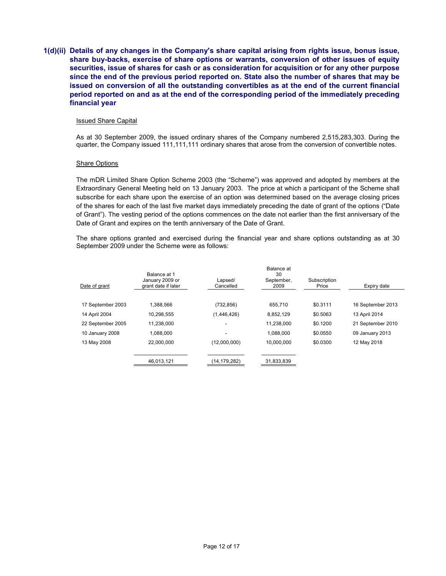**1(d)(ii) Details of any changes in the Company's share capital arising from rights issue, bonus issue, share buy-backs, exercise of share options or warrants, conversion of other issues of equity securities, issue of shares for cash or as consideration for acquisition or for any other purpose since the end of the previous period reported on. State also the number of shares that may be issued on conversion of all the outstanding convertibles as at the end of the current financial period reported on and as at the end of the corresponding period of the immediately preceding financial year** 

### Issued Share Capital

As at 30 September 2009, the issued ordinary shares of the Company numbered 2,515,283,303. During the quarter, the Company issued 111,111,111 ordinary shares that arose from the conversion of convertible notes.

### Share Options

The mDR Limited Share Option Scheme 2003 (the "Scheme") was approved and adopted by members at the Extraordinary General Meeting held on 13 January 2003. The price at which a participant of the Scheme shall subscribe for each share upon the exercise of an option was determined based on the average closing prices of the shares for each of the last five market days immediately preceding the date of grant of the options ("Date of Grant"). The vesting period of the options commences on the date not earlier than the first anniversary of the Date of Grant and expires on the tenth anniversary of the Date of Grant.

The share options granted and exercised during the financial year and share options outstanding as at 30 September 2009 under the Scheme were as follows:

|                   | Balance at 1                           |                      | Balance at<br>30   |                       |                   |
|-------------------|----------------------------------------|----------------------|--------------------|-----------------------|-------------------|
| Date of grant     | January 2009 or<br>grant date if later | Lapsed/<br>Cancelled | September,<br>2009 | Subscription<br>Price | Expiry date       |
| 17 September 2003 | 1.388.566                              | (732, 856)           | 655.710            | \$0.3111              | 16 September 2013 |
| 14 April 2004     | 10.298.555                             | (1,446,426)          | 8,852,129          | \$0.5063              | 13 April 2014     |
| 22 September 2005 | 11,238,000                             |                      | 11,238,000         | \$0.1200              | 21 September 2010 |
| 10 January 2008   | 1.088.000                              |                      | 1.088.000          | \$0.0550              | 09 January 2013   |
| 13 May 2008       | 22,000,000                             | (12,000,000)         | 10,000,000         | \$0.0300              | 12 May 2018       |
|                   | 46,013,121                             | (14,179,282)         | 31,833,839         |                       |                   |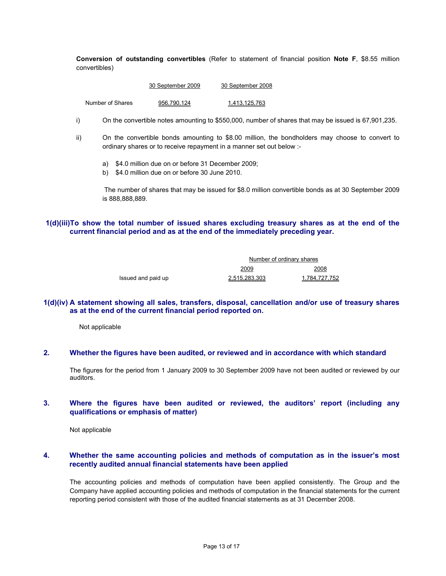**Conversion of outstanding convertibles** (Refer to statement of financial position **Note F**, \$8.55 million convertibles)

| 30 September 2009 | 30 September 2008 |
|-------------------|-------------------|
|                   |                   |

Number of Shares 956,790,124 1,413,125,763

- i) On the convertible notes amounting to \$550,000, number of shares that may be issued is 67,901,235.
- ii) On the convertible bonds amounting to \$8.00 million, the bondholders may choose to convert to ordinary shares or to receive repayment in a manner set out below :
	- a) \$4.0 million due on or before 31 December 2009;
	- b) \$4.0 million due on or before 30 June 2010.

 The number of shares that may be issued for \$8.0 million convertible bonds as at 30 September 2009 is 888,888,889.

**1(d)(iii)To show the total number of issued shares excluding treasury shares as at the end of the current financial period and as at the end of the immediately preceding year.** 

|                    | Number of ordinary shares |               |
|--------------------|---------------------------|---------------|
|                    | 2009                      | 2008          |
| Issued and paid up | 2,515,283,303             | 1,784,727,752 |

### **1(d)(iv) A statement showing all sales, transfers, disposal, cancellation and/or use of treasury shares as at the end of the current financial period reported on.**

Not applicable

## **2. Whether the figures have been audited, or reviewed and in accordance with which standard**

The figures for the period from 1 January 2009 to 30 September 2009 have not been audited or reviewed by our auditors.

### **3. Where the figures have been audited or reviewed, the auditors' report (including any qualifications or emphasis of matter)**

Not applicable

### **4. Whether the same accounting policies and methods of computation as in the issuer's most recently audited annual financial statements have been applied**

The accounting policies and methods of computation have been applied consistently. The Group and the Company have applied accounting policies and methods of computation in the financial statements for the current reporting period consistent with those of the audited financial statements as at 31 December 2008.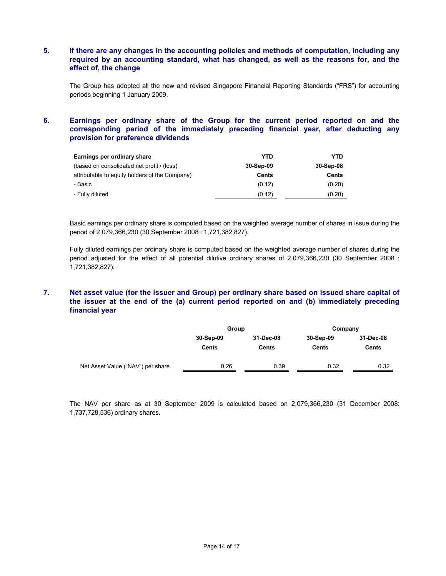# **5. If there are any changes in the accounting policies and methods of computation, including any required by an accounting standard, what has changed, as well as the reasons for, and the effect of, the change**

The Group has adopted all the new and revised Singapore Financial Reporting Standards ("FRS") for accounting periods beginning 1 January 2009.

# **6. Earnings per ordinary share of the Group for the current period reported on and the corresponding period of the immediately preceding financial year, after deducting any provision for preference dividends**

| Earnings per ordinary share                    | YTD       | <b>YTD</b> |
|------------------------------------------------|-----------|------------|
| (based on consolidated net profit / (loss)     | 30-Sep-09 | 30-Sep-08  |
| attributable to equity holders of the Company) | Cents     | Cents      |
| - Basic                                        | (0.12)    | (0.20)     |
| - Fully diluted                                | (0.12)    | (0.20)     |

Basic earnings per ordinary share is computed based on the weighted average number of shares in issue during the period of 2,079,366,230 (30 September 2008 : 1,721,382,827).

Fully diluted earnings per ordinary share is computed based on the weighted average number of shares during the period adjusted for the effect of all potential dilutive ordinary shares of 2,079,366,230 (30 September 2008 : 1,721,382,827).

# **7. Net asset value (for the issuer and Group) per ordinary share based on issued share capital of the issuer at the end of the (a) current period reported on and (b) immediately preceding financial year**

|                                   | Group                     |                           | Company                   |                           |
|-----------------------------------|---------------------------|---------------------------|---------------------------|---------------------------|
|                                   | 30-Sep-09<br><b>Cents</b> | 31-Dec-08<br><b>Cents</b> | 30-Sep-09<br><b>Cents</b> | 31-Dec-08<br><b>Cents</b> |
| Net Asset Value ("NAV") per share | 0.26                      | 0.39                      | 0.32                      | 0.32                      |

The NAV per share as at 30 September 2009 is calculated based on 2,079,366,230 (31 December 2008: 1,737,728,536) ordinary shares.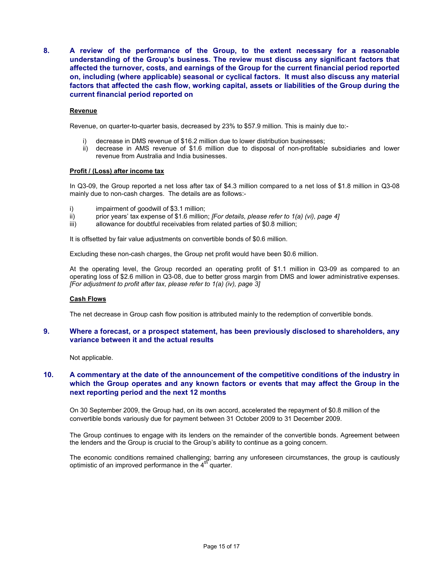**8. A review of the performance of the Group, to the extent necessary for a reasonable understanding of the Group's business. The review must discuss any significant factors that affected the turnover, costs, and earnings of the Group for the current financial period reported on, including (where applicable) seasonal or cyclical factors. It must also discuss any material factors that affected the cash flow, working capital, assets or liabilities of the Group during the current financial period reported on** 

### **Revenue**

Revenue, on quarter-to-quarter basis, decreased by 23% to \$57.9 million. This is mainly due to:-

- i) decrease in DMS revenue of \$16.2 million due to lower distribution businesses;
- ii) decrease in AMS revenue of \$1.6 million due to disposal of non-profitable subsidiaries and lower revenue from Australia and India businesses.

### **Profit / (Loss) after income tax**

In Q3-09, the Group reported a net loss after tax of \$4.3 million compared to a net loss of \$1.8 million in Q3-08 mainly due to non-cash charges. The details are as follows:-

- i) impairment of goodwill of \$3.1 million;
- ii) prior years' tax expense of \$1.6 million; *[For details, please refer to 1(a) (vi), page 4]*
- iii) allowance for doubtful receivables from related parties of \$0.8 million;

It is offsetted by fair value adjustments on convertible bonds of \$0.6 million.

Excluding these non-cash charges, the Group net profit would have been \$0.6 million.

At the operating level, the Group recorded an operating profit of \$1.1 million in Q3-09 as compared to an operating loss of \$2.6 million in Q3-08, due to better gross margin from DMS and lower administrative expenses. *[For adjustment to profit after tax, please refer to 1(a) (iv), page 3]*

### **Cash Flows**

The net decrease in Group cash flow position is attributed mainly to the redemption of convertible bonds.

### **9. Where a forecast, or a prospect statement, has been previously disclosed to shareholders, any variance between it and the actual results**

Not applicable.

## **10. A commentary at the date of the announcement of the competitive conditions of the industry in which the Group operates and any known factors or events that may affect the Group in the next reporting period and the next 12 months**

On 30 September 2009, the Group had, on its own accord, accelerated the repayment of \$0.8 million of the convertible bonds variously due for payment between 31 October 2009 to 31 December 2009.

The Group continues to engage with its lenders on the remainder of the convertible bonds. Agreement between the lenders and the Group is crucial to the Group's ability to continue as a going concern.

The economic conditions remained challenging; barring any unforeseen circumstances, the group is cautiously optimistic of an improved performance in the  $4<sup>th</sup>$  quarter.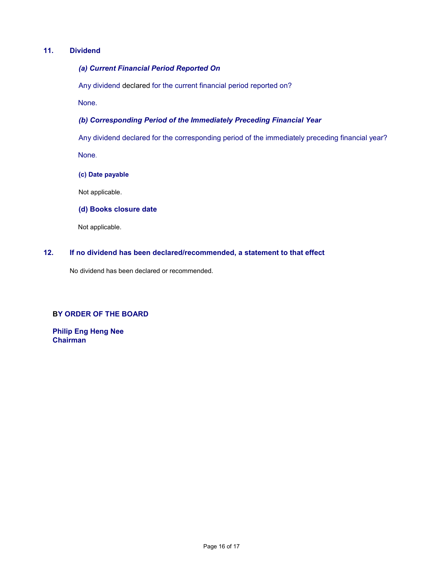# **11. Dividend**

# *(a) Current Financial Period Reported On*

Any dividend declared for the current financial period reported on?

None.

# *(b) Corresponding Period of the Immediately Preceding Financial Year*

Any dividend declared for the corresponding period of the immediately preceding financial year? None.

**(c) Date payable** 

Not applicable.

**(d) Books closure date** 

Not applicable.

# **12. If no dividend has been declared/recommended, a statement to that effect**

No dividend has been declared or recommended.

## **BY ORDER OF THE BOARD**

**Philip Eng Heng Nee Chairman**